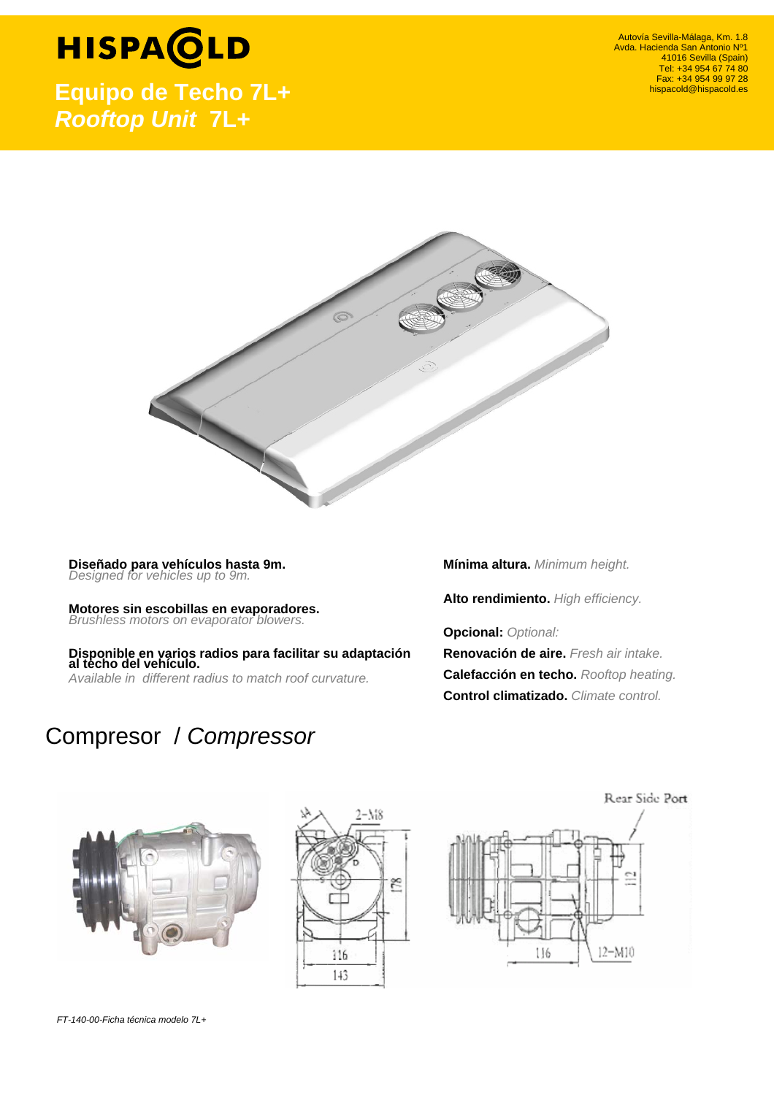## **HISPACLD**

**Equipo de Techo 7L+**  *Rooftop Unit* **7L+**

Autovía Sevilla-Málaga, Km. 1.8 Avda. Hacienda San Antonio Nº1 41016 Sevilla (Spain) Tel: +34 954 67 74 80 Fax: +34 954 99 97 28 hispacold@hispacold.es



 **Diseñado para vehículos hasta 9m.**  *Designed for vehicles up to 9m.* 

 **Motores sin escobillas en evaporadores.**  *Brushless motors on evaporator blowers.*

 **Disponible en varios radios para facilitar su adaptación al techo del vehículo.**  *Available in different radius to match roof curvature.*

**Mínima altura.** *Minimum height.*

 **Alto rendimiento.** *High efficiency.*

 **Opcional:** *Optional:*

**Renovación de aire.** *Fresh air intake.* **Calefacción en techo.** *Rooftop heating.*  **Control climatizado.** *Climate control.* 

### Compresor / *Compressor*





Rear Side Port